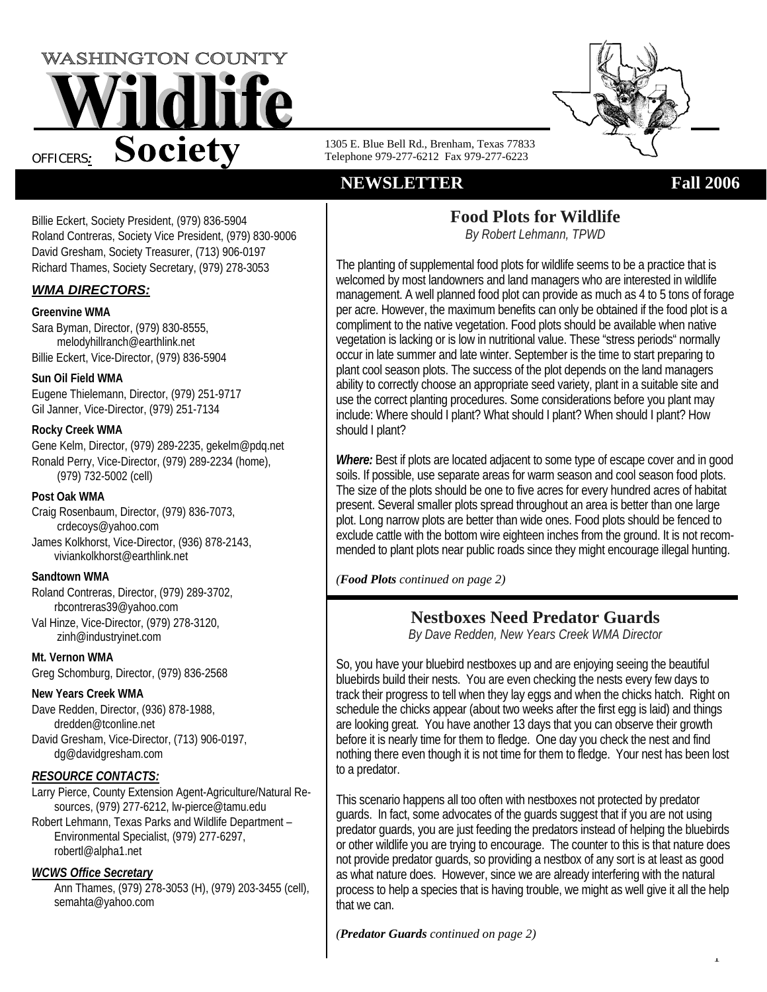



1305 E. Blue Bell Rd., Brenham, Texas 77833 Telephone 979-277-6212 Fax 979-277-6223

# **NEWSLETTER** Fall 2006

1

Billie Eckert, Society President, (979) 836-5904 Roland Contreras, Society Vice President, (979) 830-9006 David Gresham, Society Treasurer, (713) 906-0197 Richard Thames, Society Secretary, (979) 278-3053

# *WMA DIRECTORS:*

#### **Greenvine WMA**

Sara Byman, Director, (979) 830-8555, melodyhillranch@earthlink.net Billie Eckert, Vice-Director, (979) 836-5904

# **Sun Oil Field WMA**

Eugene Thielemann, Director, (979) 251-9717 Gil Janner, Vice-Director, (979) 251-7134

# **Rocky Creek WMA**

Gene Kelm, Director, (979) 289-2235, gekelm@pdq.net Ronald Perry, Vice-Director, (979) 289-2234 (home), (979) 732-5002 (cell)

### **Post Oak WMA**

Craig Rosenbaum, Director, (979) 836-7073, crdecoys@yahoo.com James Kolkhorst, Vice-Director, (936) 878-2143, viviankolkhorst@earthlink.net

# **Sandtown WMA**

Roland Contreras, Director, (979) 289-3702, rbcontreras39@yahoo.com Val Hinze, Vice-Director, (979) 278-3120,

zinh@industryinet.com

**Mt. Vernon WMA**  Greg Schomburg, Director, (979) 836-2568

# **New Years Creek WMA**

Dave Redden, Director, (936) 878-1988, dredden@tconline.net David Gresham, Vice-Director, (713) 906-0197,

dg@davidgresham.com

# *RESOURCE CONTACTS:*

Larry Pierce, County Extension Agent-Agriculture/Natural Resources, (979) 277-6212, lw-pierce@tamu.edu

Robert Lehmann, Texas Parks and Wildlife Department – Environmental Specialist, (979) 277-6297, robertl@alpha1.net

# *WCWS Office Secretary*

Ann Thames, (979) 278-3053 (H), (979) 203-3455 (cell), semahta@yahoo.com

# **Food Plots for Wildlife**

*By Robert Lehmann, TPWD* 

The planting of supplemental food plots for wildlife seems to be a practice that is welcomed by most landowners and land managers who are interested in wildlife management. A well planned food plot can provide as much as 4 to 5 tons of forage per acre. However, the maximum benefits can only be obtained if the food plot is a compliment to the native vegetation. Food plots should be available when native vegetation is lacking or is low in nutritional value. These "stress periods" normally occur in late summer and late winter. September is the time to start preparing to plant cool season plots. The success of the plot depends on the land managers ability to correctly choose an appropriate seed variety, plant in a suitable site and use the correct planting procedures. Some considerations before you plant may include: Where should I plant? What should I plant? When should I plant? How should I plant?

*Where:* Best if plots are located adjacent to some type of escape cover and in good soils. If possible, use separate areas for warm season and cool season food plots. The size of the plots should be one to five acres for every hundred acres of habitat present. Several smaller plots spread throughout an area is better than one large plot. Long narrow plots are better than wide ones. Food plots should be fenced to exclude cattle with the bottom wire eighteen inches from the ground. It is not recommended to plant plots near public roads since they might encourage illegal hunting.

*(Food Plots continued on page 2)*

# **Nestboxes Need Predator Guards**

*By Dave Redden, New Years Creek WMA Director*

So, you have your bluebird nestboxes up and are enjoying seeing the beautiful bluebirds build their nests. You are even checking the nests every few days to track their progress to tell when they lay eggs and when the chicks hatch. Right on schedule the chicks appear (about two weeks after the first egg is laid) and things are looking great. You have another 13 days that you can observe their growth before it is nearly time for them to fledge. One day you check the nest and find nothing there even though it is not time for them to fledge. Your nest has been lost to a predator.

This scenario happens all too often with nestboxes not protected by predator guards. In fact, some advocates of the guards suggest that if you are not using predator guards, you are just feeding the predators instead of helping the bluebirds or other wildlife you are trying to encourage. The counter to this is that nature does not provide predator guards, so providing a nestbox of any sort is at least as good as what nature does. However, since we are already interfering with the natural process to help a species that is having trouble, we might as well give it all the help that we can.

*(Predator Guards continued on page 2)*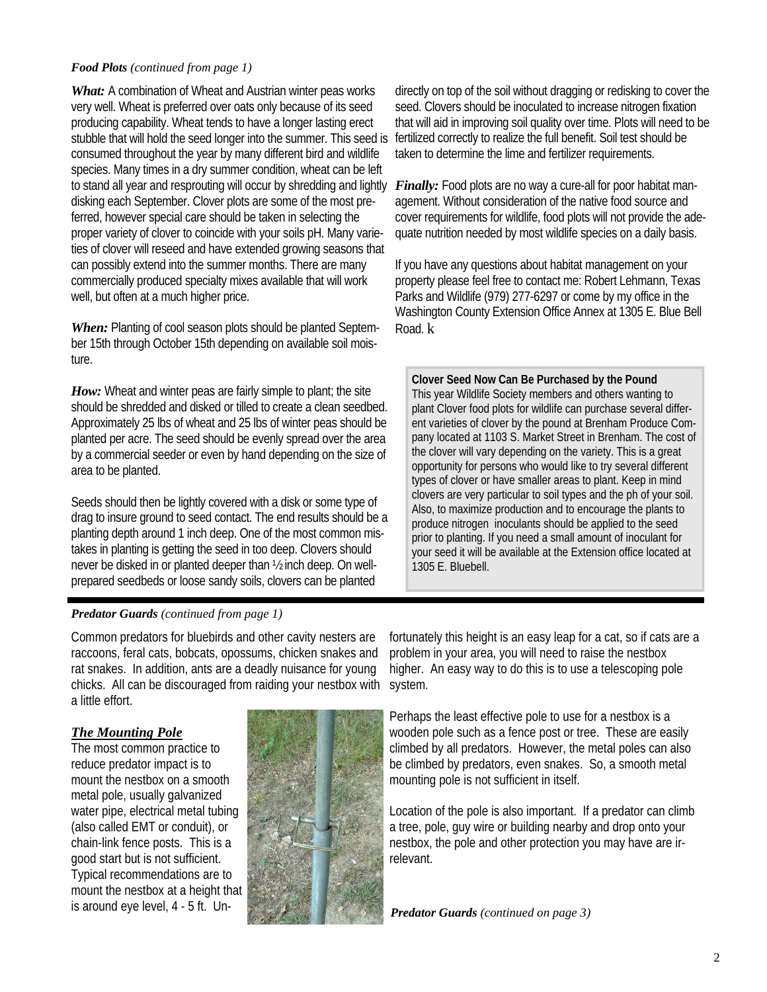#### *Food Plots (continued from page 1)*

*What:* A combination of Wheat and Austrian winter peas works very well. Wheat is preferred over oats only because of its seed producing capability. Wheat tends to have a longer lasting erect stubble that will hold the seed longer into the summer. This seed is consumed throughout the year by many different bird and wildlife species. Many times in a dry summer condition, wheat can be left to stand all year and resprouting will occur by shredding and lightly disking each September. Clover plots are some of the most preferred, however special care should be taken in selecting the proper variety of clover to coincide with your soils pH. Many varieties of clover will reseed and have extended growing seasons that can possibly extend into the summer months. There are many commercially produced specialty mixes available that will work well, but often at a much higher price.

*When:* Planting of cool season plots should be planted September 15th through October 15th depending on available soil moisture.

*How:* Wheat and winter peas are fairly simple to plant; the site should be shredded and disked or tilled to create a clean seedbed. Approximately 25 lbs of wheat and 25 lbs of winter peas should be planted per acre. The seed should be evenly spread over the area by a commercial seeder or even by hand depending on the size of area to be planted.

Seeds should then be lightly covered with a disk or some type of drag to insure ground to seed contact. The end results should be a planting depth around 1 inch deep. One of the most common mistakes in planting is getting the seed in too deep. Clovers should never be disked in or planted deeper than ½ inch deep. On wellprepared seedbeds or loose sandy soils, clovers can be planted

directly on top of the soil without dragging or redisking to cover the seed. Clovers should be inoculated to increase nitrogen fixation that will aid in improving soil quality over time. Plots will need to be fertilized correctly to realize the full benefit. Soil test should be taken to determine the lime and fertilizer requirements.

*Finally:* Food plots are no way a cure-all for poor habitat management. Without consideration of the native food source and cover requirements for wildlife, food plots will not provide the adequate nutrition needed by most wildlife species on a daily basis.

If you have any questions about habitat management on your property please feel free to contact me: Robert Lehmann, Texas Parks and Wildlife (979) 277-6297 or come by my office in the Washington County Extension Office Annex at 1305 E. Blue Bell Road. k

**Clover Seed Now Can Be Purchased by the Pound** This year Wildlife Society members and others wanting to plant Clover food plots for wildlife can purchase several different varieties of clover by the pound at Brenham Produce Company located at 1103 S. Market Street in Brenham. The cost of the clover will vary depending on the variety. This is a great opportunity for persons who would like to try several different types of clover or have smaller areas to plant. Keep in mind clovers are very particular to soil types and the ph of your soil. Also, to maximize production and to encourage the plants to produce nitrogen inoculants should be applied to the seed prior to planting. If you need a small amount of inoculant for your seed it will be available at the Extension office located at 1305 E. Bluebell.

# *Predator Guards (continued from page 1)*

Common predators for bluebirds and other cavity nesters are raccoons, feral cats, bobcats, opossums, chicken snakes and rat snakes. In addition, ants are a deadly nuisance for young chicks. All can be discouraged from raiding your nestbox with a little effort.

# *The Mounting Pole*

The most common practice to reduce predator impact is to mount the nestbox on a smooth metal pole, usually galvanized water pipe, electrical metal tubing (also called EMT or conduit), or chain-link fence posts. This is a good start but is not sufficient. Typical recommendations are to mount the nestbox at a height that is around eye level, 4 - 5 ft. Un-



fortunately this height is an easy leap for a cat, so if cats are a problem in your area, you will need to raise the nestbox higher. An easy way to do this is to use a telescoping pole system.

Perhaps the least effective pole to use for a nestbox is a wooden pole such as a fence post or tree. These are easily climbed by all predators. However, the metal poles can also be climbed by predators, even snakes. So, a smooth metal mounting pole is not sufficient in itself.

Location of the pole is also important. If a predator can climb a tree, pole, guy wire or building nearby and drop onto your nestbox, the pole and other protection you may have are irrelevant.

*Predator Guards (continued on page 3)*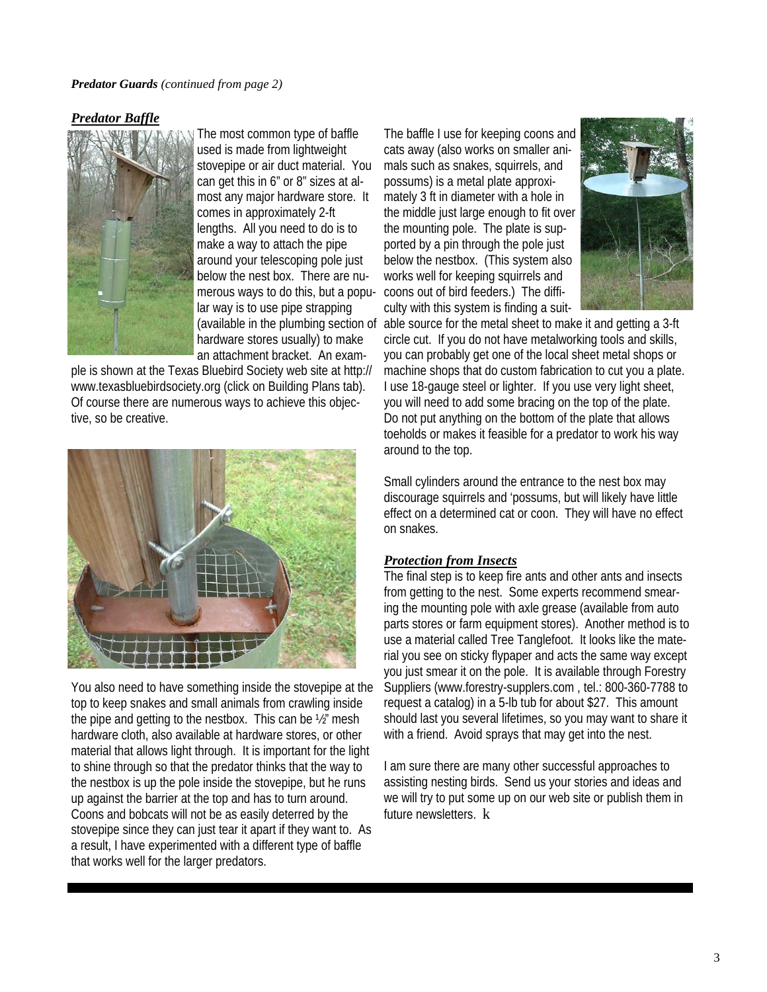#### *Predator Guards (continued from page 2)*

# *Predator Baffle*



The most common type of baffle used is made from lightweight stovepipe or air duct material. You can get this in 6" or 8" sizes at almost any major hardware store. It comes in approximately 2-ft lengths. All you need to do is to make a way to attach the pipe around your telescoping pole just below the nest box. There are numerous ways to do this, but a popular way is to use pipe strapping hardware stores usually) to make an attachment bracket. An exam-

ple is shown at the Texas Bluebird Society web site at http:// www.texasbluebirdsociety.org (click on Building Plans tab). Of course there are numerous ways to achieve this objective, so be creative.



You also need to have something inside the stovepipe at the top to keep snakes and small animals from crawling inside the pipe and getting to the nestbox. This can be ½" mesh hardware cloth, also available at hardware stores, or other material that allows light through. It is important for the light to shine through so that the predator thinks that the way to the nestbox is up the pole inside the stovepipe, but he runs up against the barrier at the top and has to turn around. Coons and bobcats will not be as easily deterred by the stovepipe since they can just tear it apart if they want to. As a result, I have experimented with a different type of baffle that works well for the larger predators.

The baffle I use for keeping coons and cats away (also works on smaller animals such as snakes, squirrels, and possums) is a metal plate approximately 3 ft in diameter with a hole in the middle just large enough to fit over the mounting pole. The plate is supported by a pin through the pole just below the nestbox. (This system also works well for keeping squirrels and coons out of bird feeders.) The difficulty with this system is finding a suit-



(available in the plumbing section of able source for the metal sheet to make it and getting a 3-ft circle cut. If you do not have metalworking tools and skills, you can probably get one of the local sheet metal shops or machine shops that do custom fabrication to cut you a plate. I use 18-gauge steel or lighter. If you use very light sheet, you will need to add some bracing on the top of the plate. Do not put anything on the bottom of the plate that allows toeholds or makes it feasible for a predator to work his way around to the top.

> Small cylinders around the entrance to the nest box may discourage squirrels and 'possums, but will likely have little effect on a determined cat or coon. They will have no effect on snakes.

# *Protection from Insects*

The final step is to keep fire ants and other ants and insects from getting to the nest. Some experts recommend smearing the mounting pole with axle grease (available from auto parts stores or farm equipment stores). Another method is to use a material called Tree Tanglefoot. It looks like the material you see on sticky flypaper and acts the same way except you just smear it on the pole. It is available through Forestry Suppliers (www.forestry-supplers.com , tel.: 800-360-7788 to request a catalog) in a 5-lb tub for about \$27. This amount should last you several lifetimes, so you may want to share it with a friend. Avoid sprays that may get into the nest.

I am sure there are many other successful approaches to assisting nesting birds. Send us your stories and ideas and we will try to put some up on our web site or publish them in future newsletters. **k**